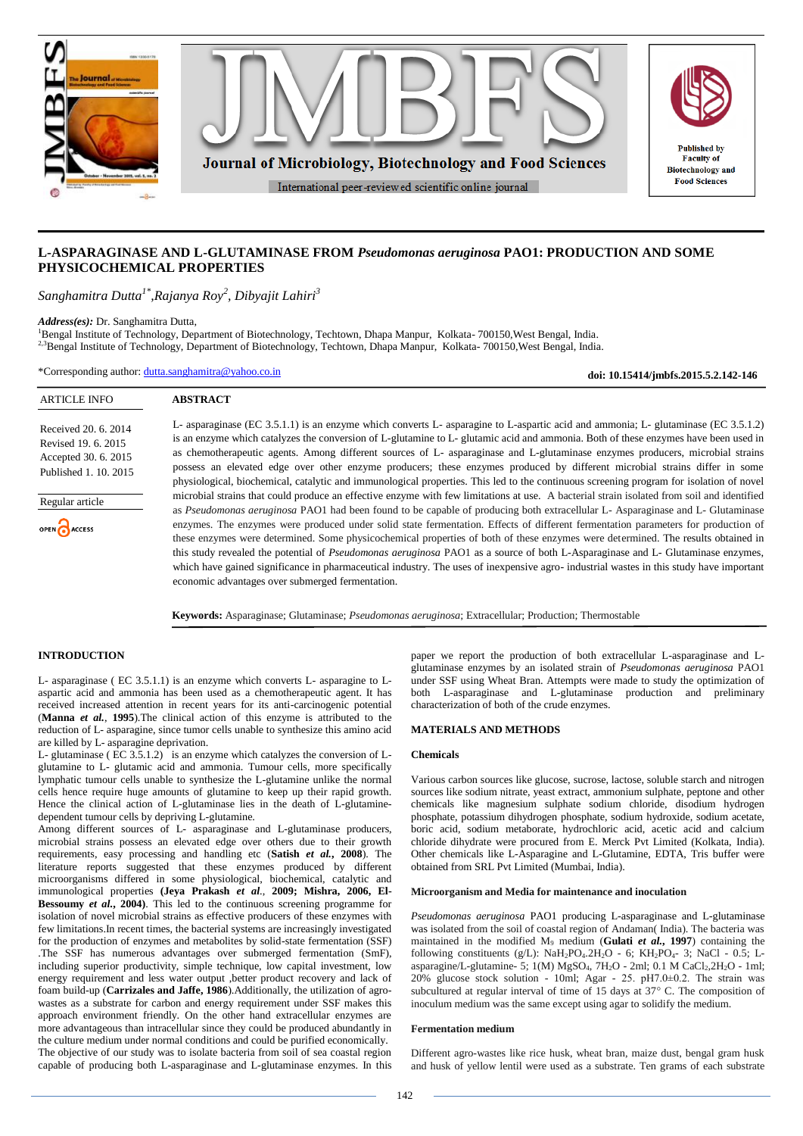

# **L-ASPARAGINASE AND L-GLUTAMINASE FROM** *Pseudomonas aeruginosa* **PAO1: PRODUCTION AND SOME PHYSICOCHEMICAL PROPERTIES**

*Sanghamitra Dutta1\*,Rajanya Roy<sup>2</sup> , Dibyajit Lahiri<sup>3</sup>*

*Address(es):* Dr. Sanghamitra Dutta,

<sup>1</sup>Bengal Institute of Technology, Department of Biotechnology, Techtown, Dhapa Manpur, Kolkata- 700150, West Bengal, India. <sup>2,3</sup>Bengal Institute of Technology, Department of Biotechnology, Techtown, Dhapa Manpur, Kolkata- 700150, West Bengal, India.

\*Corresponding author: [dutta.sanghamitra@yahoo.co.in](mailto:dutta.sanghamitra@yahoo.co.in)

**doi: 10.15414/jmbfs.2015.5.2.142-146**

| <b>ARTICLE INFO</b>                                                                          | <b>ABSTRACT</b>                                                                                                                                                                                                                                                                                                                                                                                                                                                                                                                                                                                                                                                                                                                                                                                                                                                                               |
|----------------------------------------------------------------------------------------------|-----------------------------------------------------------------------------------------------------------------------------------------------------------------------------------------------------------------------------------------------------------------------------------------------------------------------------------------------------------------------------------------------------------------------------------------------------------------------------------------------------------------------------------------------------------------------------------------------------------------------------------------------------------------------------------------------------------------------------------------------------------------------------------------------------------------------------------------------------------------------------------------------|
| Received 20, 6, 2014<br>Revised 19, 6, 2015<br>Accepted 30. 6. 2015<br>Published 1, 10, 2015 | L- asparaginase (EC 3.5.1.1) is an enzyme which converts L- asparagine to L-aspartic acid and ammonia; L- glutaminase (EC 3.5.1.2)<br>is an enzyme which catalyzes the conversion of L-glutamine to L- glutamic acid and ammonia. Both of these enzymes have been used in<br>as chemotherapeutic agents. Among different sources of L- asparaginase and L-glutaminase enzymes producers, microbial strains<br>possess an elevated edge over other enzyme producers; these enzymes produced by different microbial strains differ in some<br>physiological, biochemical, catalytic and immunological properties. This led to the continuous screening program for isolation of novel                                                                                                                                                                                                           |
| Regular article<br>OPEN ACCESS                                                               | microbial strains that could produce an effective enzyme with few limitations at use. A bacterial strain isolated from soil and identified<br>as <i>Pseudomonas aeruginosa</i> PAO1 had been found to be capable of producing both extracellular L- Asparaginase and L- Glutaminase<br>enzymes. The enzymes were produced under solid state fermentation. Effects of different fermentation parameters for production of<br>these enzymes were determined. Some physicochemical properties of both of these enzymes were determined. The results obtained in<br>this study revealed the potential of Pseudomonas aeruginosa PAO1 as a source of both L-Asparaginase and L- Glutaminase enzymes,<br>which have gained significance in pharmaceutical industry. The uses of inexpensive agro-industrial wastes in this study have important<br>economic advantages over submerged fermentation. |
|                                                                                              | <b>Keywords:</b> Asparaginase; Glutaminase; <i>Pseudomonas aeruginosa</i> ; Extracellular; Production; Thermostable                                                                                                                                                                                                                                                                                                                                                                                                                                                                                                                                                                                                                                                                                                                                                                           |

#### **INTRODUCTION**

L- asparaginase ( EC 3.5.1.1) is an enzyme which converts L- asparagine to Laspartic acid and ammonia has been used as a chemotherapeutic agent. It has received increased attention in recent years for its anti-carcinogenic potential (**Manna** *et al.*, **1995**).The clinical action of this enzyme is attributed to the reduction of L- asparagine, since tumor cells unable to synthesize this amino acid are killed by L- asparagine deprivation.

L- glutaminase ( EC 3.5.1.2) is an enzyme which catalyzes the conversion of Lglutamine to L- glutamic acid and ammonia. Tumour cells, more specifically lymphatic tumour cells unable to synthesize the L-glutamine unlike the normal cells hence require huge amounts of glutamine to keep up their rapid growth. Hence the clinical action of L-glutaminase lies in the death of L-glutaminedependent tumour cells by depriving L-glutamine.

Among different sources of L- asparaginase and L-glutaminase producers, microbial strains possess an elevated edge over others due to their growth requirements, easy processing and handling etc (**Satish** *et al.***, 2008**). The literature reports suggested that these enzymes produced by different microorganisms differed in some physiological, biochemical, catalytic and immunological properties **(Jeya Prakash** *et al*., **2009; Mishra, 2006, El-Bessoumy** *et al.***, 2004)**. This led to the continuous screening programme for isolation of novel microbial strains as effective producers of these enzymes with few limitations.In recent times, the bacterial systems are increasingly investigated for the production of enzymes and metabolites by solid-state fermentation (SSF) .The SSF has numerous advantages over submerged fermentation (SmF), including superior productivity, simple technique, low capital investment, low energy requirement and less water output ,better product recovery and lack of foam build-up (**Carrizales and Jaffe, 1986**).Additionally, the utilization of agrowastes as a substrate for carbon and energy requirement under SSF makes this approach environment friendly. On the other hand extracellular enzymes are more advantageous than intracellular since they could be produced abundantly in the culture medium under normal conditions and could be purified economically. The objective of our study was to isolate bacteria from soil of sea coastal region capable of producing both L-asparaginase and L-glutaminase enzymes. In this paper we report the production of both extracellular L-asparaginase and Lglutaminase enzymes by an isolated strain of *Pseudomonas aeruginosa* PAO1 under SSF using Wheat Bran. Attempts were made to study the optimization of both L-asparaginase and L-glutaminase production and preliminary characterization of both of the crude enzymes.

#### **MATERIALS AND METHODS**

## **Chemicals**

Various carbon sources like glucose, sucrose, lactose, soluble starch and nitrogen sources like sodium nitrate, yeast extract, ammonium sulphate, peptone and other chemicals like magnesium sulphate sodium chloride, disodium hydrogen phosphate, potassium dihydrogen phosphate, sodium hydroxide, sodium acetate, boric acid, sodium metaborate, hydrochloric acid, acetic acid and calcium chloride dihydrate were procured from E. Merck Pvt Limited (Kolkata, India). Other chemicals like L-Asparagine and L-Glutamine, EDTA, Tris buffer were obtained from SRL Pvt Limited (Mumbai, India).

#### **Microorganism and Media for maintenance and inoculation**

*Pseudomonas aeruginosa* PAO1 producing L-asparaginase and L-glutaminase was isolated from the soil of coastal region of Andaman( India). The bacteria was maintained in the modified M<sup>9</sup> medium (**Gulati** *et al.***, 1997**) containing the following constituents (g/L):  $NaH_2PO_4.2H_2O - 6$ ;  $KH_2PO_4-3$ ; NaCl - 0.5; Lasparagine/L-glutamine- 5;  $1(M)$  MgSO<sub>4</sub>,  $7H_2O - 2ml$ ;  $0.1$  M CaCl<sub>2</sub>,  $2H_2O - 1ml$ ; 20% glucose stock solution - 10ml; Agar - 25. pH7.0±0.2. The strain was subcultured at regular interval of time of 15 days at  $37^{\circ}$  C. The composition of inoculum medium was the same except using agar to solidify the medium.

#### **Fermentation medium**

Different agro-wastes like rice husk, wheat bran, maize dust, bengal gram husk and husk of yellow lentil were used as a substrate. Ten grams of each substrate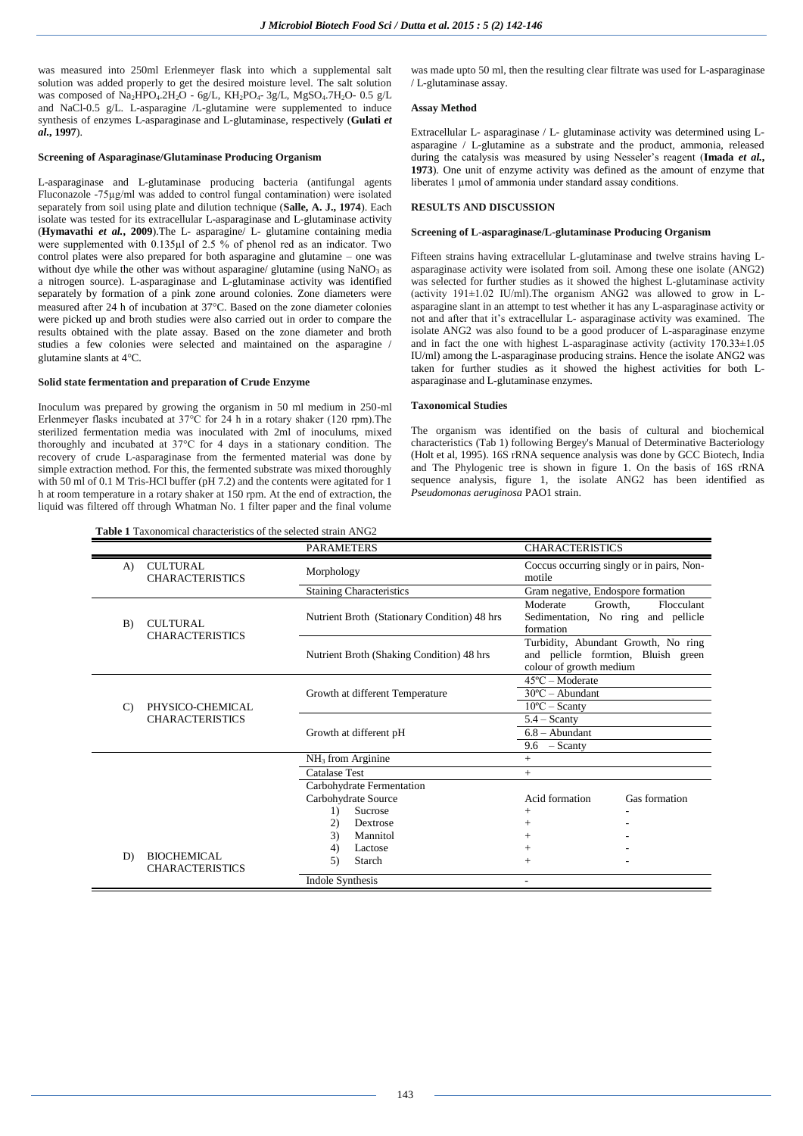was measured into 250ml Erlenmeyer flask into which a supplemental salt solution was added properly to get the desired moisture level. The salt solution was composed of  $Na<sub>2</sub>HPO<sub>4</sub>·2H<sub>2</sub>O - 6g/L$ ,  $KH<sub>2</sub>PO<sub>4</sub>·3g/L$ ,  $MgSO<sub>4</sub>·7H<sub>2</sub>O - 0.5 g/L$ and NaCl-0.5 g/L. L-asparagine /L-glutamine were supplemented to induce synthesis of enzymes L-asparaginase and L-glutaminase, respectively (**Gulati** *et al.***, 1997**).

## **Screening of Asparaginase/Glutaminase Producing Organism**

L-asparaginase and L-glutaminase producing bacteria (antifungal agents Fluconazole -75µg/ml was added to control fungal contamination) were isolated separately from soil using plate and dilution technique (**Salle, A. J., 1974**). Each isolate was tested for its extracellular L-asparaginase and L-glutaminase activity (**Hymavathi** *et al.***, 2009**).The L- asparagine/ L- glutamine containing media were supplemented with 0.135µl of 2.5 % of phenol red as an indicator. Two control plates were also prepared for both asparagine and glutamine – one was without dye while the other was without asparagine/ glutamine (using  $NaNO<sub>3</sub>$  as a nitrogen source). L-asparaginase and L-glutaminase activity was identified separately by formation of a pink zone around colonies. Zone diameters were measured after 24 h of incubation at 37°C. Based on the zone diameter colonies were picked up and broth studies were also carried out in order to compare the results obtained with the plate assay. Based on the zone diameter and broth studies a few colonies were selected and maintained on the asparagine / glutamine slants at 4°C.

## **Solid state fermentation and preparation of Crude Enzyme**

Inoculum was prepared by growing the organism in 50 ml medium in 250-ml Erlenmeyer flasks incubated at 37°C for 24 h in a rotary shaker (120 rpm).The sterilized fermentation media was inoculated with 2ml of inoculums, mixed thoroughly and incubated at 37°C for 4 days in a stationary condition. The recovery of crude L-asparaginase from the fermented material was done by simple extraction method. For this, the fermented substrate was mixed thoroughly with 50 ml of 0.1 M Tris-HCl buffer (pH 7.2) and the contents were agitated for 1 h at room temperature in a rotary shaker at 150 rpm. At the end of extraction, the liquid was filtered off through Whatman No. 1 filter paper and the final volume

**Table 1** Taxonomical characteristics of the selected strain ANG2

was made upto 50 ml, then the resulting clear filtrate was used for L-asparaginase / L-glutaminase assay.

### **Assay Method**

Extracellular L- asparaginase / L- glutaminase activity was determined using Lasparagine / L-glutamine as a substrate and the product, ammonia, released during the catalysis was measured by using Nesseler's reagent (**Imada** *et al.***, 1973**). One unit of enzyme activity was defined as the amount of enzyme that liberates 1 µmol of ammonia under standard assay conditions.

# **RESULTS AND DISCUSSION**

## **Screening of L-asparaginase/L-glutaminase Producing Organism**

Fifteen strains having extracellular L-glutaminase and twelve strains having Lasparaginase activity were isolated from soil. Among these one isolate (ANG2) was selected for further studies as it showed the highest L-glutaminase activity (activity 191±1.02 IU/ml).The organism ANG2 was allowed to grow in Lasparagine slant in an attempt to test whether it has any L-asparaginase activity or not and after that it's extracellular L- asparaginase activity was examined. The isolate ANG2 was also found to be a good producer of L-asparaginase enzyme and in fact the one with highest L-asparaginase activity (activity 170.33±1.05 IU/ml) among the L-asparaginase producing strains. Hence the isolate ANG2 was taken for further studies as it showed the highest activities for both Lasparaginase and L-glutaminase enzymes.

## **Taxonomical Studies**

The organism was identified on the basis of cultural and biochemical characteristics (Tab 1) following Bergey's Manual of Determinative Bacteriology (Holt et al, 1995). 16S rRNA sequence analysis was done by GCC Biotech, India and The Phylogenic tree is shown in figure 1. On the basis of 16S rRNA sequence analysis, figure 1, the isolate ANG2 has been identified as *Pseudomonas aeruginosa* PAO1 strain.

|               |                                              | <b>PARAMETERS</b>                            | <b>CHARACTERISTICS</b>                                                                                |
|---------------|----------------------------------------------|----------------------------------------------|-------------------------------------------------------------------------------------------------------|
| $\bf{A}$      | <b>CULTURAL</b><br><b>CHARACTERISTICS</b>    | Morphology                                   | Coccus occurring singly or in pairs, Non-<br>motile                                                   |
|               |                                              | <b>Staining Characteristics</b>              | Gram negative, Endospore formation                                                                    |
| B)            | CULTURAL<br><b>CHARACTERISTICS</b>           | Nutrient Broth (Stationary Condition) 48 hrs | Moderate<br>Growth.<br>Flocculant<br>Sedimentation, No ring and pellicle<br>formation                 |
|               |                                              | Nutrient Broth (Shaking Condition) 48 hrs    | Turbidity, Abundant Growth, No ring<br>and pellicle formtion, Bluish green<br>colour of growth medium |
| $\mathcal{C}$ | PHYSICO-CHEMICAL<br><b>CHARACTERISTICS</b>   | Growth at different Temperature              | $45^{\circ}$ C – Moderate<br>$30^{\circ}$ C – Abundant<br>$10^{\circ}$ C – Scanty                     |
|               |                                              | Growth at different pH                       | $5.4 -$ Scanty<br>$6.8 -$ Abundant<br>$-$ Scanty<br>9.6                                               |
|               |                                              | NH <sub>3</sub> from Arginine                | $+$                                                                                                   |
|               |                                              | <b>Catalase Test</b>                         | $+$                                                                                                   |
|               |                                              | Carbohydrate Fermentation                    |                                                                                                       |
|               |                                              | Carbohydrate Source                          | Acid formation<br>Gas formation                                                                       |
|               |                                              | Sucrose<br>$\left( \right)$                  | $+$                                                                                                   |
|               |                                              | (2)<br>Dextrose                              | $+$                                                                                                   |
|               |                                              | Mannitol<br>3)                               | $+$                                                                                                   |
| D)            | <b>BIOCHEMICAL</b><br><b>CHARACTERISTICS</b> | Lactose<br>4)<br>Starch<br>5)                | $+$<br>$+$                                                                                            |
|               |                                              | <b>Indole Synthesis</b>                      | ٠                                                                                                     |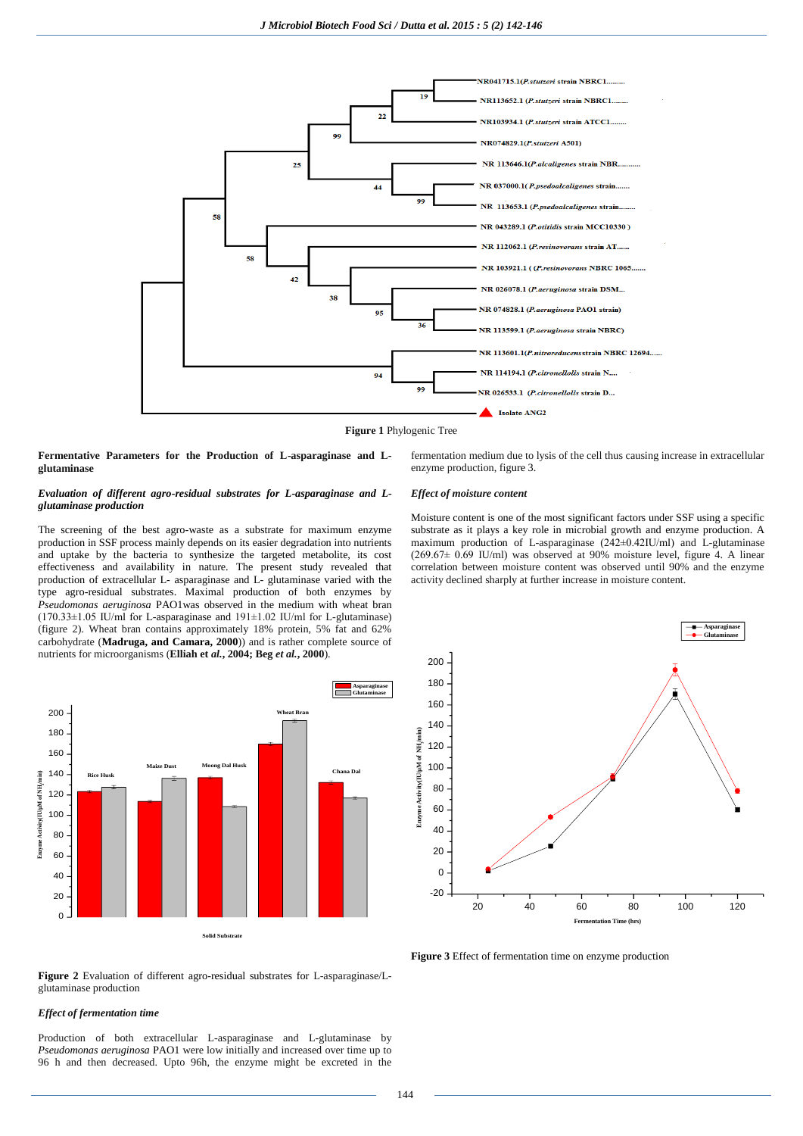

**Figure 1** Phylogenic Tree

**Fermentative Parameters for the Production of L-asparaginase and Lglutaminase**

## *Evaluation of different agro-residual substrates for L-asparaginase and Lglutaminase production*

The screening of the best agro-waste as a substrate for maximum enzyme production in SSF process mainly depends on its easier degradation into nutrients and uptake by the bacteria to synthesize the targeted metabolite, its cost effectiveness and availability in nature. The present study revealed that production of extracellular L- asparaginase and L- glutaminase varied with the type agro-residual substrates. Maximal production of both enzymes by *Pseudomonas aeruginosa* PAO1was observed in the medium with wheat bran  $(170.33\pm1.05 \text{ IU/m}$  for L-asparaginase and  $191\pm1.02 \text{ IU/m}$  for L-glutaminase) (figure 2). Wheat bran contains approximately 18% protein, 5% fat and 62% carbohydrate (**Madruga, and Camara, 2000**)) and is rather complete source of nutrients for microorganisms (**Elliah et** *al.***, 2004; Beg** *et al.***, 2000**).



**Figure 2** Evaluation of different agro-residual substrates for L-asparaginase/Lglutaminase production

## *Effect of fermentation time*

Production of both extracellular L-asparaginase and L-glutaminase by *Pseudomonas aeruginosa* PAO1 were low initially and increased over time up to 96 h and then decreased. Upto 96h, the enzyme might be excreted in the fermentation medium due to lysis of the cell thus causing increase in extracellular enzyme production, figure 3.

### *Effect of moisture content*

Moisture content is one of the most significant factors under SSF using a specific substrate as it plays a key role in microbial growth and enzyme production. A maximum production of L-asparaginase (242±0.42IU/ml) and L-glutaminase  $(269.67\pm 0.69$  IU/ml) was observed at 90% moisture level, figure 4. A linear correlation between moisture content was observed until 90% and the enzyme activity declined sharply at further increase in moisture content.

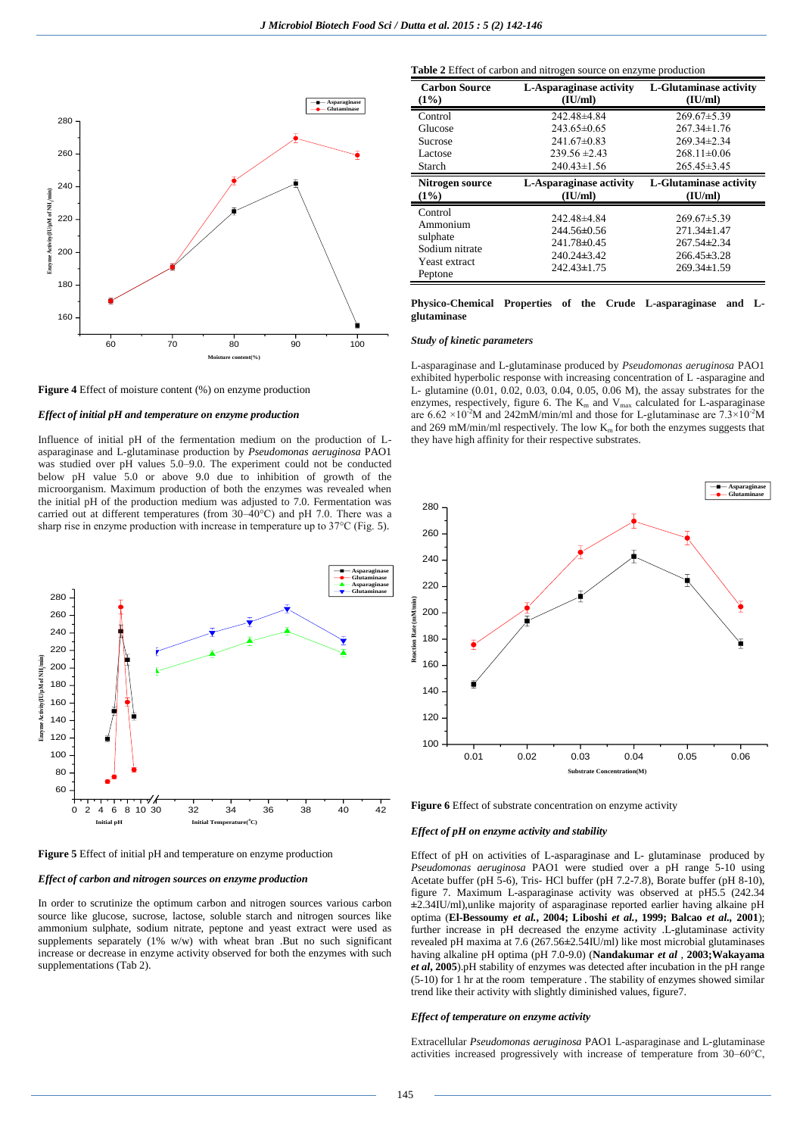

**Figure 4** Effect of moisture content (%) on enzyme production

#### *Effect of initial pH and temperature on enzyme production*

Influence of initial pH of the fermentation medium on the production of Lasparaginase and L-glutaminase production by *Pseudomonas aeruginosa* PAO1 was studied over pH values 5.0–9.0. The experiment could not be conducted below pH value 5.0 or above 9.0 due to inhibition of growth of the microorganism. Maximum production of both the enzymes was revealed when the initial pH of the production medium was adjusted to 7.0. Fermentation was carried out at different temperatures (from 30–40°C) and pH 7.0. There was a sharp rise in enzyme production with increase in temperature up to 37°C (Fig. 5).



**Figure 5** Effect of initial pH and temperature on enzyme production

## *Effect of carbon and nitrogen sources on enzyme production*

In order to scrutinize the optimum carbon and nitrogen sources various carbon source like glucose, sucrose, lactose, soluble starch and nitrogen sources like ammonium sulphate, sodium nitrate, peptone and yeast extract were used as supplements separately (1% w/w) with wheat bran .But no such significant increase or decrease in enzyme activity observed for both the enzymes with such supplementations (Tab 2).

**Table 2** Effect of carbon and nitrogen source on enzyme production

| <b>Carbon Source</b>                                                          | L-Asparaginase activity                                                           | L-Glutaminase activity                                                                            |
|-------------------------------------------------------------------------------|-----------------------------------------------------------------------------------|---------------------------------------------------------------------------------------------------|
| (1%)                                                                          | (IU/ml)                                                                           | (IU/ml)                                                                                           |
| Control                                                                       | 242.48±4.84                                                                       | $269.67 \pm 5.39$                                                                                 |
| Glucose                                                                       | $243.65\pm0.65$                                                                   | $267.34 \pm 1.76$                                                                                 |
| Sucrose                                                                       | $241.67 \pm 0.83$                                                                 | $269.34 \pm 2.34$                                                                                 |
| Lactose                                                                       | $239.56 \pm 2.43$                                                                 | $268.11 \pm 0.06$                                                                                 |
| Starch                                                                        | $240.43 \pm 1.56$                                                                 | $265.45 \pm 3.45$                                                                                 |
| Nitrogen source                                                               | L-Asparaginase activity                                                           | <b>L-Glutaminase activity</b>                                                                     |
| (1%)                                                                          | (IU/ml)                                                                           | (IU/ml)                                                                                           |
| Control<br>Ammonium<br>sulphate<br>Sodium nitrate<br>Yeast extract<br>Peptone | 242.48±4.84<br>244.56±0.56<br>241.78±0.45<br>$240.24\pm3.42$<br>$242.43 \pm 1.75$ | $269.67\pm5.39$<br>$271.34 \pm 1.47$<br>$267.54\pm2.34$<br>$266.45 \pm 3.28$<br>$269.34 \pm 1.59$ |

#### **Physico-Chemical Properties of the Crude L-asparaginase and Lglutaminase**

L-asparaginase and L-glutaminase produced by *Pseudomonas aeruginosa* PAO1 exhibited hyperbolic response with increasing concentration of L -asparagine and L- glutamine (0.01, 0.02, 0.03, 0.04, 0.05, 0.06 M), the assay substrates for the enzymes, respectively, figure 6. The  $K_m$  and  $V_{max}$  calculated for L-asparaginase are  $6.62 \times 10^{-2}$ M and 242mM/min/ml and those for L-glutaminase are  $7.3 \times 10^{-2}$ M and 269 mM/min/ml respectively. The low  $K<sub>m</sub>$  for both the enzymes suggests that they have high affinity for their respective substrates.



#### *Effect of pH on enzyme activity and stability*

Effect of pH on activities of L-asparaginase and L- glutaminase produced by *Pseudomonas aeruginosa* PAO1 were studied over a pH range 5-10 using Acetate buffer (pH 5-6), Tris- HCl buffer (pH 7.2-7.8), Borate buffer (pH 8-10), figure 7. Maximum L-asparaginase activity was observed at pH5.5 (242.34 **±**2.34IU/ml),unlike majority of asparaginase reported earlier having alkaine pH optima (**El-Bessoumy** *et al.***, 2004; Liboshi** *et al.***, 1999; Balcao** *et al.,* **2001**); further increase in pH decreased the enzyme activity .L-glutaminase activity revealed pH maxima at 7.6 (267.56**±**2.54IU/ml) like most microbial glutaminases having alkaline pH optima (pH 7.0-9.0) (**Nandakumar** *et al* , **2003;Wakayama**  *et al***, 2005**).pH stability of enzymes was detected after incubation in the pH range (5-10) for 1 hr at the room temperature . The stability of enzymes showed similar trend like their activity with slightly diminished values, figure7.

#### *Effect of temperature on enzyme activity*

Extracellular *Pseudomonas aeruginosa* PAO1 L-asparaginase and L-glutaminase activities increased progressively with increase of temperature from 30–60°C,